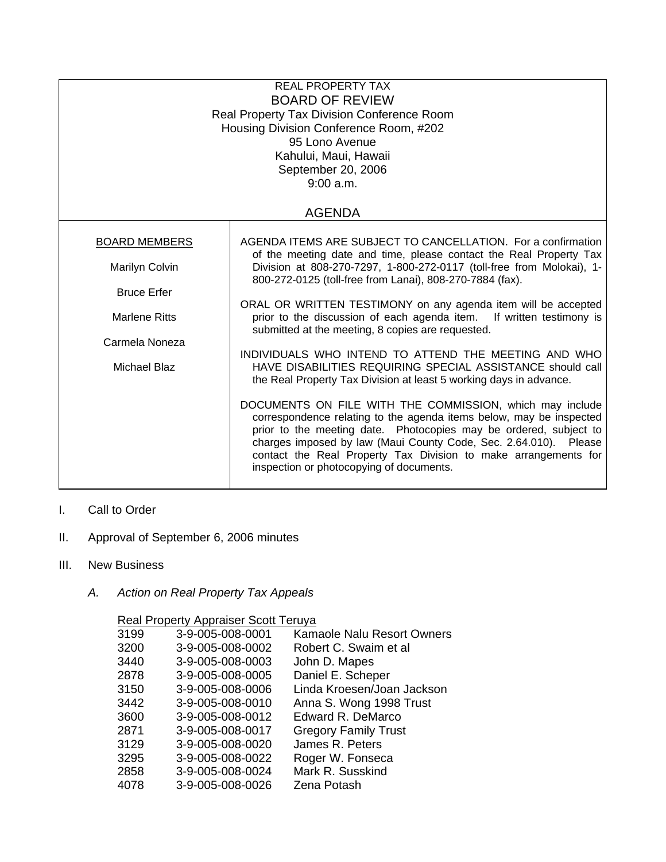| <b>REAL PROPERTY TAX</b><br><b>BOARD OF REVIEW</b><br>Real Property Tax Division Conference Room<br>Housing Division Conference Room, #202<br>95 Lono Avenue<br>Kahului, Maui, Hawaii<br>September 20, 2006<br>9:00 a.m. |                                                                                                                                                                                                                                                                                                                                                                                                                                                                                                                                                                                                                                                                                                                                                                                                                                                                                                                                               |  |  |
|--------------------------------------------------------------------------------------------------------------------------------------------------------------------------------------------------------------------------|-----------------------------------------------------------------------------------------------------------------------------------------------------------------------------------------------------------------------------------------------------------------------------------------------------------------------------------------------------------------------------------------------------------------------------------------------------------------------------------------------------------------------------------------------------------------------------------------------------------------------------------------------------------------------------------------------------------------------------------------------------------------------------------------------------------------------------------------------------------------------------------------------------------------------------------------------|--|--|
|                                                                                                                                                                                                                          | <b>AGENDA</b>                                                                                                                                                                                                                                                                                                                                                                                                                                                                                                                                                                                                                                                                                                                                                                                                                                                                                                                                 |  |  |
| <b>BOARD MEMBERS</b><br>Marilyn Colvin<br><b>Bruce Erfer</b><br>Marlene Ritts<br>Carmela Noneza<br>Michael Blaz                                                                                                          | AGENDA ITEMS ARE SUBJECT TO CANCELLATION. For a confirmation<br>of the meeting date and time, please contact the Real Property Tax<br>Division at 808-270-7297, 1-800-272-0117 (toll-free from Molokai), 1-<br>800-272-0125 (toll-free from Lanai), 808-270-7884 (fax).<br>ORAL OR WRITTEN TESTIMONY on any agenda item will be accepted<br>prior to the discussion of each agenda item. If written testimony is<br>submitted at the meeting, 8 copies are requested.<br>INDIVIDUALS WHO INTEND TO ATTEND THE MEETING AND WHO<br>HAVE DISABILITIES REQUIRING SPECIAL ASSISTANCE should call<br>the Real Property Tax Division at least 5 working days in advance.<br>DOCUMENTS ON FILE WITH THE COMMISSION, which may include<br>correspondence relating to the agenda items below, may be inspected<br>prior to the meeting date. Photocopies may be ordered, subject to<br>charges imposed by law (Maui County Code, Sec. 2.64.010). Please |  |  |

- I. Call to Order
- II. Approval of September 6, 2006 minutes
- III. New Business
	- *A. Action on Real Property Tax Appeals*

## Real Property Appraiser Scott Teruya

| 3199 | 3-9-005-008-0001 | Kamaole Nalu Resort Owners  |
|------|------------------|-----------------------------|
| 3200 | 3-9-005-008-0002 | Robert C. Swaim et al       |
| 3440 | 3-9-005-008-0003 | John D. Mapes               |
| 2878 | 3-9-005-008-0005 | Daniel E. Scheper           |
| 3150 | 3-9-005-008-0006 | Linda Kroesen/Joan Jackson  |
| 3442 | 3-9-005-008-0010 | Anna S. Wong 1998 Trust     |
| 3600 | 3-9-005-008-0012 | Edward R. DeMarco           |
| 2871 | 3-9-005-008-0017 | <b>Gregory Family Trust</b> |
| 3129 | 3-9-005-008-0020 | James R. Peters             |
| 3295 | 3-9-005-008-0022 | Roger W. Fonseca            |
| 2858 | 3-9-005-008-0024 | Mark R. Susskind            |
| 4078 | 3-9-005-008-0026 | Zena Potash                 |
|      |                  |                             |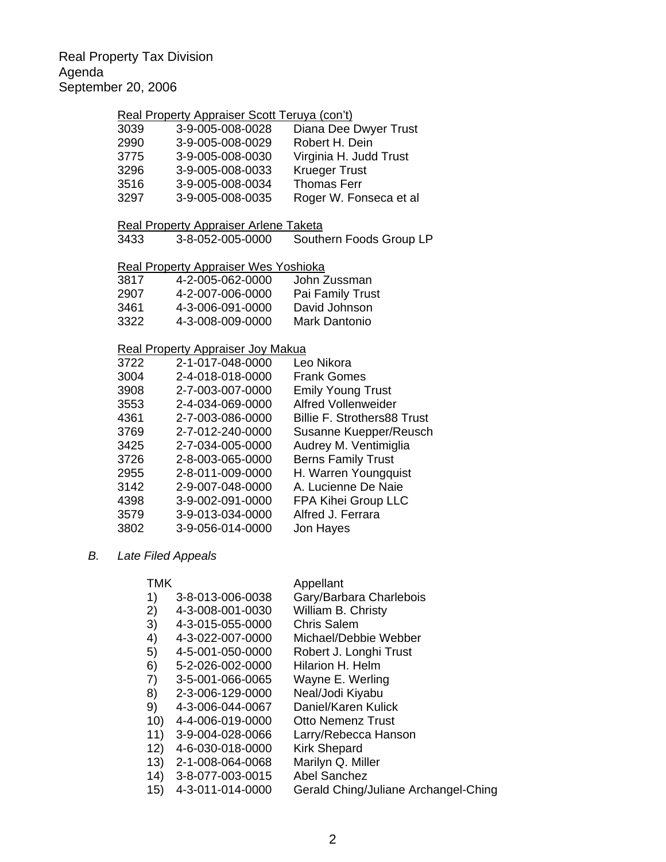## Real Property Appraiser Scott Teruya (con't)

| 3039 | 3-9-005-008-0028 | Diana Dee Dwyer Trust  |
|------|------------------|------------------------|
| 2990 | 3-9-005-008-0029 | Robert H. Dein         |
| 3775 | 3-9-005-008-0030 | Virginia H. Judd Trust |
| 3296 | 3-9-005-008-0033 | <b>Krueger Trust</b>   |
| 3516 | 3-9-005-008-0034 | <b>Thomas Ferr</b>     |
| 3297 | 3-9-005-008-0035 | Roger W. Fonseca et al |

#### Real Property Appraiser Arlene Taketa

3433 3-8-052-005-0000 Southern Foods Group LP

#### Real Property Appraiser Wes Yoshioka

| 3817 | 4-2-005-062-0000 | John Zussman     |
|------|------------------|------------------|
| 2907 | 4-2-007-006-0000 | Pai Family Trust |
| 3461 | 4-3-006-091-0000 | David Johnson    |
| 3322 | 4-3-008-009-0000 | Mark Dantonio    |

## Real Property Appraiser Joy Makua

| 3722 | 2-1-017-048-0000 | Leo Nikora                         |
|------|------------------|------------------------------------|
| 3004 | 2-4-018-018-0000 | <b>Frank Gomes</b>                 |
| 3908 | 2-7-003-007-0000 | <b>Emily Young Trust</b>           |
| 3553 | 2-4-034-069-0000 | <b>Alfred Vollenweider</b>         |
| 4361 | 2-7-003-086-0000 | <b>Billie F. Strothers88 Trust</b> |
| 3769 | 2-7-012-240-0000 | Susanne Kuepper/Reusch             |
| 3425 | 2-7-034-005-0000 | Audrey M. Ventimiglia              |
| 3726 | 2-8-003-065-0000 | <b>Berns Family Trust</b>          |
| 2955 | 2-8-011-009-0000 | H. Warren Youngquist               |
| 3142 | 2-9-007-048-0000 | A. Lucienne De Naie                |
| 4398 | 3-9-002-091-0000 | FPA Kihei Group LLC                |
| 3579 | 3-9-013-034-0000 | Alfred J. Ferrara                  |
| 3802 | 3-9-056-014-0000 | Jon Hayes                          |
|      |                  |                                    |

### *B. Late Filed Appeals*

#### TMK Appellant

| I IVIN |                  | Appellant                            |
|--------|------------------|--------------------------------------|
| 1)     | 3-8-013-006-0038 | Gary/Barbara Charlebois              |
| 2)     | 4-3-008-001-0030 | William B. Christy                   |
| 3)     | 4-3-015-055-0000 | <b>Chris Salem</b>                   |
| 4)     | 4-3-022-007-0000 | Michael/Debbie Webber                |
| 5)     | 4-5-001-050-0000 | Robert J. Longhi Trust               |
| 6)     | 5-2-026-002-0000 | Hilarion H. Helm                     |
| 7)     | 3-5-001-066-0065 | Wayne E. Werling                     |
| 8)     | 2-3-006-129-0000 | Neal/Jodi Kiyabu                     |
| 9)     | 4-3-006-044-0067 | Daniel/Karen Kulick                  |
| 10)    | 4-4-006-019-0000 | <b>Otto Nemenz Trust</b>             |
| 11)    | 3-9-004-028-0066 | Larry/Rebecca Hanson                 |
| 12)    | 4-6-030-018-0000 | <b>Kirk Shepard</b>                  |
| 13)    | 2-1-008-064-0068 | Marilyn Q. Miller                    |
| 14)    | 3-8-077-003-0015 | <b>Abel Sanchez</b>                  |
| 15)    | 4-3-011-014-0000 | Gerald Ching/Juliane Archangel-Ching |
|        |                  |                                      |